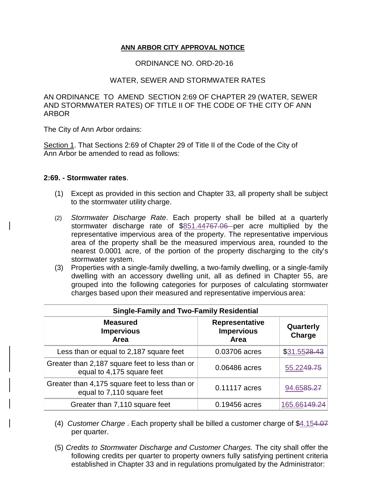## **ANN ARBOR CITY APPROVAL NOTICE**

## ORDINANCE NO. ORD-20-16

## WATER, SEWER AND STORMWATER RATES

AN ORDINANCE TO AMEND SECTION 2:69 OF CHAPTER 29 (WATER, SEWER AND STORMWATER RATES) OF TITLE II OF THE CODE OF THE CITY OF ANN ARBOR

The City of Ann Arbor ordains:

Section 1. That Sections 2:69 of Chapter 29 of Title II of the Code of the City of Ann Arbor be amended to read as follows:

## **2:69. - Stormwater rates**.

- (1) Except as provided in this section and Chapter 33, all property shall be subject to the stormwater utility charge.
- (2) *Stormwater Discharge Rate*. Each property shall be billed at a quarterly stormwater discharge rate of \$851.44767.06 per acre multiplied by the representative impervious area of the property. The representative impervious area of the property shall be the measured impervious area, rounded to the nearest 0.0001 acre, of the portion of the property discharging to the city's stormwater system.
- (3) Properties with a single-family dwelling, a two-family dwelling, or a single-family dwelling with an accessory dwelling unit, all as defined in Chapter 55, are grouped into the following categories for purposes of calculating stormwater charges based upon their measured and representative impervious area:

| <b>Single-Family and Two-Family Residential</b>                              |                                                    |                       |  |
|------------------------------------------------------------------------------|----------------------------------------------------|-----------------------|--|
| <b>Measured</b><br><b>Impervious</b><br>Area                                 | <b>Representative</b><br><b>Impervious</b><br>Area | Quarterly<br>Charge   |  |
| Less than or equal to 2,187 square feet                                      | 0.03706 acres                                      | \$31.5528.43          |  |
| Greater than 2,187 square feet to less than or<br>equal to 4,175 square feet | 0.06486 acres                                      | 55.2249.75            |  |
| Greater than 4,175 square feet to less than or<br>equal to 7,110 square feet | 0.11117 acres                                      | 94.6585.27            |  |
| Greater than 7,110 square feet                                               | 0.19456 acres                                      | 165.66 <del>149</del> |  |

- (4) *Customer Charge* . Each property shall be billed a customer charge of \$4.154.07 per quarter.
- (5) *Credits to Stormwater Discharge and Customer Charges.* The city shall offer the following credits per quarter to property owners fully satisfying pertinent criteria established in Chapter 33 and in regulations promulgated by the Administrator: